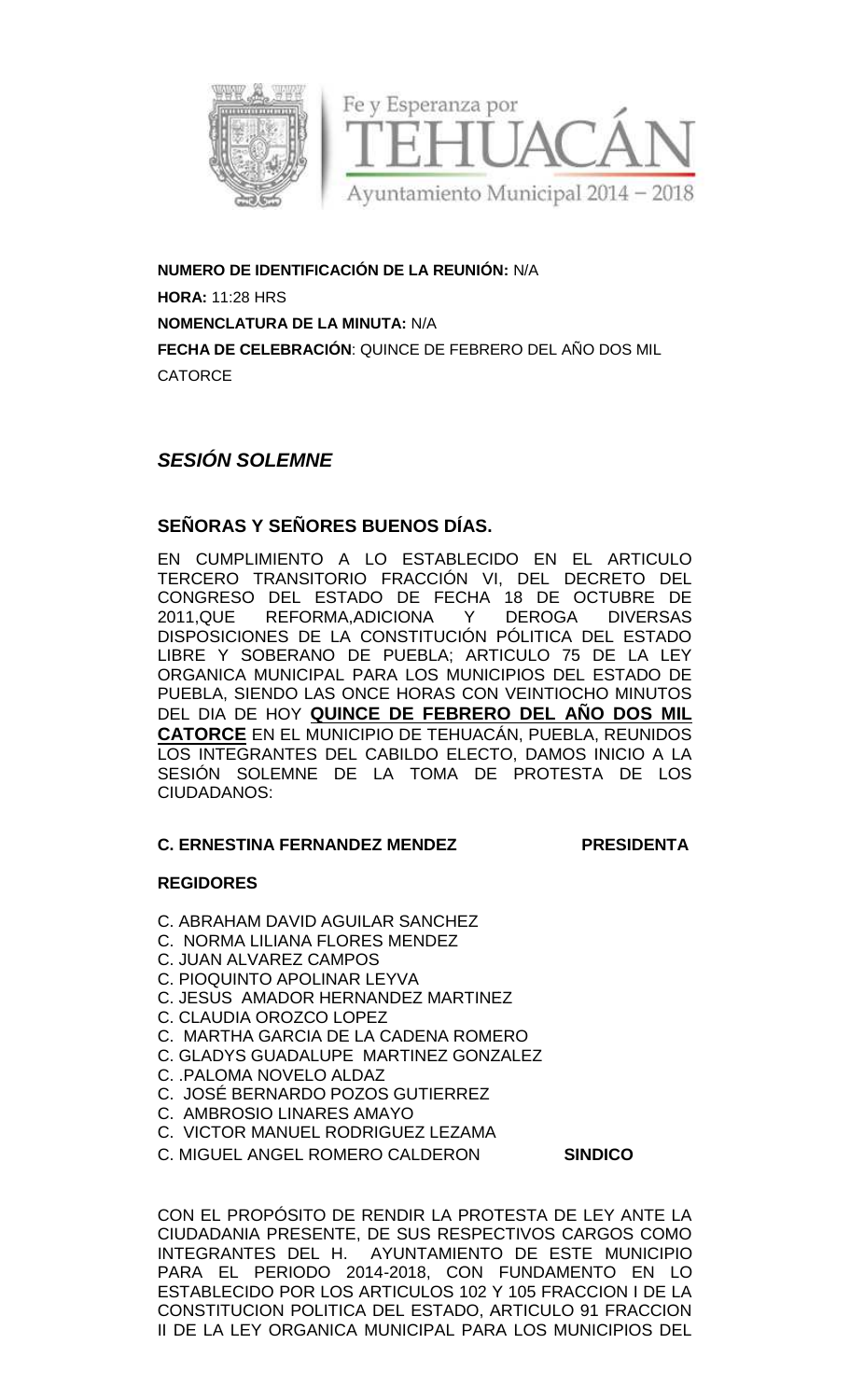

**NUMERO DE IDENTIFICACIÓN DE LA REUNIÓN:** N/A **HORA:** 11:28 HRS **NOMENCLATURA DE LA MINUTA:** N/A **FECHA DE CELEBRACION:** QUINCE DE FEBRERO DEL ANO DOS MIL **CATORCE** 

## *SESIÓN SOLEMNE*

### **SEÑORAS Y SEÑORES BUENOS DÍAS.**

EN CUMPLIMIENTO A LO ESTABLECIDO EN EL ARTICULO TERCERO TRANSITORIO FRACCIÓN VI, DEL DECRETO DEL CONGRESO DEL ESTADO DE FECHA 18 DE OCTUBRE DE 2011,QUE REFORMA,ADICIONA Y DEROGA DIVERSAS DISPOSICIONES DE LA CONSTITUCIÓN PÓLITICA DEL ESTADO LIBRE Y SOBERANO DE PUEBLA; ARTICULO 75 DE LA LEY LIBRE Y SOBERANO DE PUEBLA; ARTICULO 75 DE LA LEY<br>ORGANICA MUNICIPAL PARA LOS MUNICIPIOS DEL ESTADO DE PUEBLA, SIENDO LAS ONCE HORAS CON VEINTIOCHO MINUTOS DEL DIA DE HOY <mark>QUINCE DE FEBRERO DEL ANO DOS MIL</mark> **CATORCE** EN EL MUNICIPIO DE TEHUACÁN, PUEBLA, REUNIDOS LOS INTEGRANTES DEL CABILDO ELECTO, DAMOS INICIO A LA SESIÓN SOLEMNE DE LA TOMA DE PROTESTA DE LOS CIUDADANOS: EN CUMPLIMIENTO A LO ESTABLECIDO EN EL A<br>TERCERO TRANSITORIO FRACCIÓN VI, DEL DECRE<br>CONGRESO DEL ESTADO DE FECHA 18 DE OCTU<br>2011,QUE REFORMA,ADICIONA Y DEROGA D<br>DISPOSICIONES DE LA CONSTITUCIÓN PÓLITICA DEL<br>LIBRE Y SOBERAN DE IDENTIFICACION DE LA REUNION: N/A<br>
28 HRS<br>
ATURA DE LA MINUTA: N/A<br>
ATURA DE LA MINUTA: N/A<br>
CELEBRACIÓN: QUINCE DE FEBRERO DEL AÑO<br>
21<br>
CELEBRACIÓN: QUINCE DE FEGRELECIDO EN EL<br>
DE DEL REFORMA ADICIONA (PACCIÓN VI, DEL SION SOLEMNE DE LA TOMA DE<br>PADANOS:<br>ERNESTINA FERNANDEZ MENDEZ<br>GIDORES<br>ABRAHAM DAVID AGUILAR SANCHEZ<br>NORMA LILIANA FLORES MENDEZ<br>JUAN ALVAREZ CAMPOS<br>PIOQUINTO APOLINAR LEYVA<br>PESUS AMADOR HERNANDEZ MARTINE<br>CLAUDIA OROZCO LO

### **C. ERNESTINA FERNANDEZ MENDEZ PRESIDENTA MENDEZ**

### **REGIDORES**

- C. ABRAHAM DAVID AGUILAR SANCHEZ
- C. NORMA LILIANA FLORES MENDEZ
- C. JUAN ALVAREZ CAMPOS
- C. PIOQUINTO APOLINAR LEYVA
- C. JESUS AMADOR HERNANDEZ MARTINEZ
- C. CLAUDIA OROZCO LOPEZ
- C. MARTHA GARCIA DE LA CADENA ROMERO
- C. GLADYS GUADALUPE MARTINEZ GONZALEZ
- C. .PALOMA NOVELO ALDAZ
- C. JOSÉ BERNARDO POZOS GUTIERREZ
- C. AMBROSIO LINARES AMAYO
- C. VICTOR MANUEL RODRIGUEZ LEZAMA
- **C. MIGUEL ANGEL ROMERO CALDERON**

**SINDICO** 

CON EL PROPOSITO DE RENDIR LA PROTESTA DE LEY ANTE LA CIUDADANIA PRESENTE, DE SUS RESPECTIVOS CARGOS COMO INTEGRANTES DEL H. AYUNTAMIENTO DE ESTE MUNICIPIO PARA EL PERIODO 2014-2018, CON FUNDAMENTO EN LO ESTABLECIDO POR LOS ARTICULOS 102 Y 105 FRACCION I DE LA CONSTITUCION POLITICA DEL ESTADO, ARTICULO 91 FRACCION II DE LA LEY ORGANICA MUNICIPAL PARA LOS MUNICIPIOS DEL BLECIDO POR LOS ARTICULOS 102 Y 105 FRACCION I DE LA<br>¡TITUCION POLITICA DEL ESTADO, ARTICULO 91 FRACCION<br>LA LEY ORGANICA MUNICIPAL PARA LOS MUNICIPIOS DEL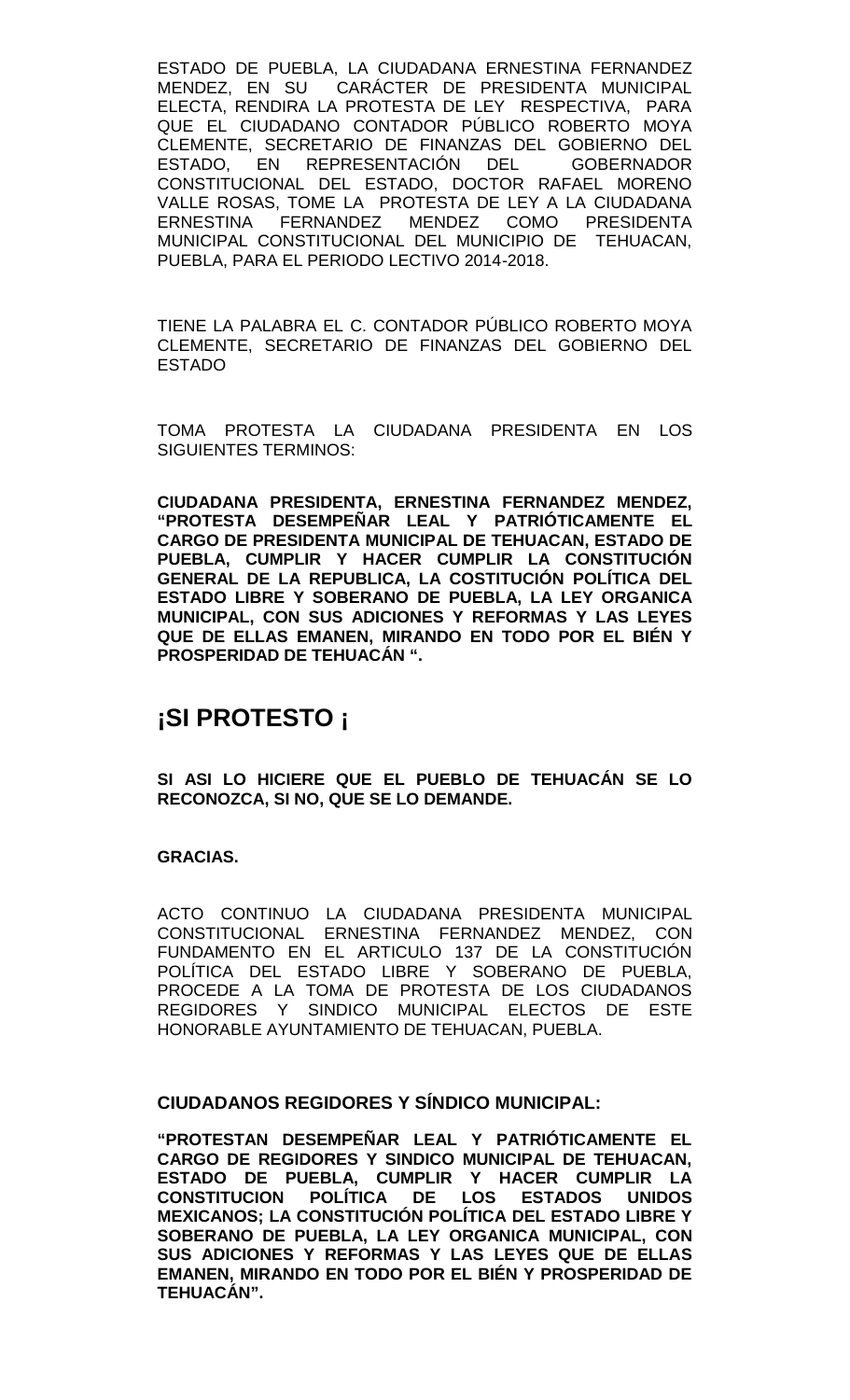ESTADO DE PUEBLA, LA CIUDADANA ERNESTINA FERNANDEZ MENDEZ, EN SU CARÁCTER DE PRESIDENTA MUNICIPAL ELECTA, RENDIRA LA PROTESTA DE LEY RESPECTIVA, PARA QUE EL CIUDADANO CONTADOR PÚBLICO ROBERTO MOYA CLEMENTE, SECRETARIO DE FINANZAS DEL GOBIERNO DEL ESTADO, EN REPRESENTACIÓN DEL GOBERNADOR CONSTITUCIONAL DEL ESTADO, DOCTOR RAFAEL MORENO VALLE ROSAS, TOME LA PROTESTA DE LEY A LA CIUDADANA ERNESTINA FERNANDEZ MENDEZ COMO PRESIDENTA MUNICIPAL CONSTITUCIONAL DEL MUNICIPIO DE TEHUACAN, PUEBLA, PARA EL PERIODO LECTIVO 2014-2018.

TIENE LA PALABRA EL C. CONTADOR PÚBLICO ROBERTO MOYA CLEMENTE, SECRETARIO DE FINANZAS DEL GOBIERNO DEL ESTADO

TOMA PROTESTA LA CIUDADANA PRESIDENTA EN LOS SIGUIENTES TERMINOS:

**CIUDADANA PRESIDENTA, ERNESTINA FERNANDEZ MENDEZ, "PROTESTA DESEMPEÑAR LEAL Y PATRIÓTICAMENTE EL CARGO DE PRESIDENTA MUNICIPAL DE TEHUACAN, ESTADO DE PUEBLA, CUMPLIR Y HACER CUMPLIR LA CONSTITUCIÓN GENERAL DE LA REPUBLICA, LA COSTITUCIÓN POLÍTICA DEL ESTADO LIBRE Y SOBERANO DE PUEBLA, LA LEY ORGANICA MUNICIPAL, CON SUS ADICIONES Y REFORMAS Y LAS LEYES QUE DE ELLAS EMANEN, MIRANDO EN TODO POR EL BIÉN Y PROSPERIDAD DE TEHUACÁN ".**

# **¡SI PROTESTO ¡**

**SI ASI LO HICIERE QUE EL PUEBLO DE TEHUACÁN SE LO RECONOZCA, SI NO, QUE SE LO DEMANDE.**

### **GRACIAS.**

ACTO CONTINUO LA CIUDADANA PRESIDENTA MUNICIPAL CONSTITUCIONAL ERNESTINA FERNANDEZ MENDEZ, CON FUNDAMENTO EN EL ARTICULO 137 DE LA CONSTITUCIÓN POLÍTICA DEL ESTADO LIBRE Y SOBERANO DE PUEBLA, PROCEDE A LA TOMA DE PROTESTA DE LOS CIUDADANOS REGIDORES Y SINDICO MUNICIPAL ELECTOS DE ESTE HONORABLE AYUNTAMIENTO DE TEHUACAN, PUEBLA.

### **CIUDADANOS REGIDORES Y SÍNDICO MUNICIPAL:**

**"PROTESTAN DESEMPEÑAR LEAL Y PATRIÓTICAMENTE EL CARGO DE REGIDORES Y SINDICO MUNICIPAL DE TEHUACAN, ESTADO DE PUEBLA, CUMPLIR Y HACER CUMPLIR LA CONSTITUCION POLÍTICA DE LOS ESTADOS UNIDOS MEXICANOS; LA CONSTITUCIÓN POLÍTICA DEL ESTADO LIBRE Y SOBERANO DE PUEBLA, LA LEY ORGANICA MUNICIPAL, CON SUS ADICIONES Y REFORMAS Y LAS LEYES QUE DE ELLAS EMANEN, MIRANDO EN TODO POR EL BIÉN Y PROSPERIDAD DE TEHUACÁN".**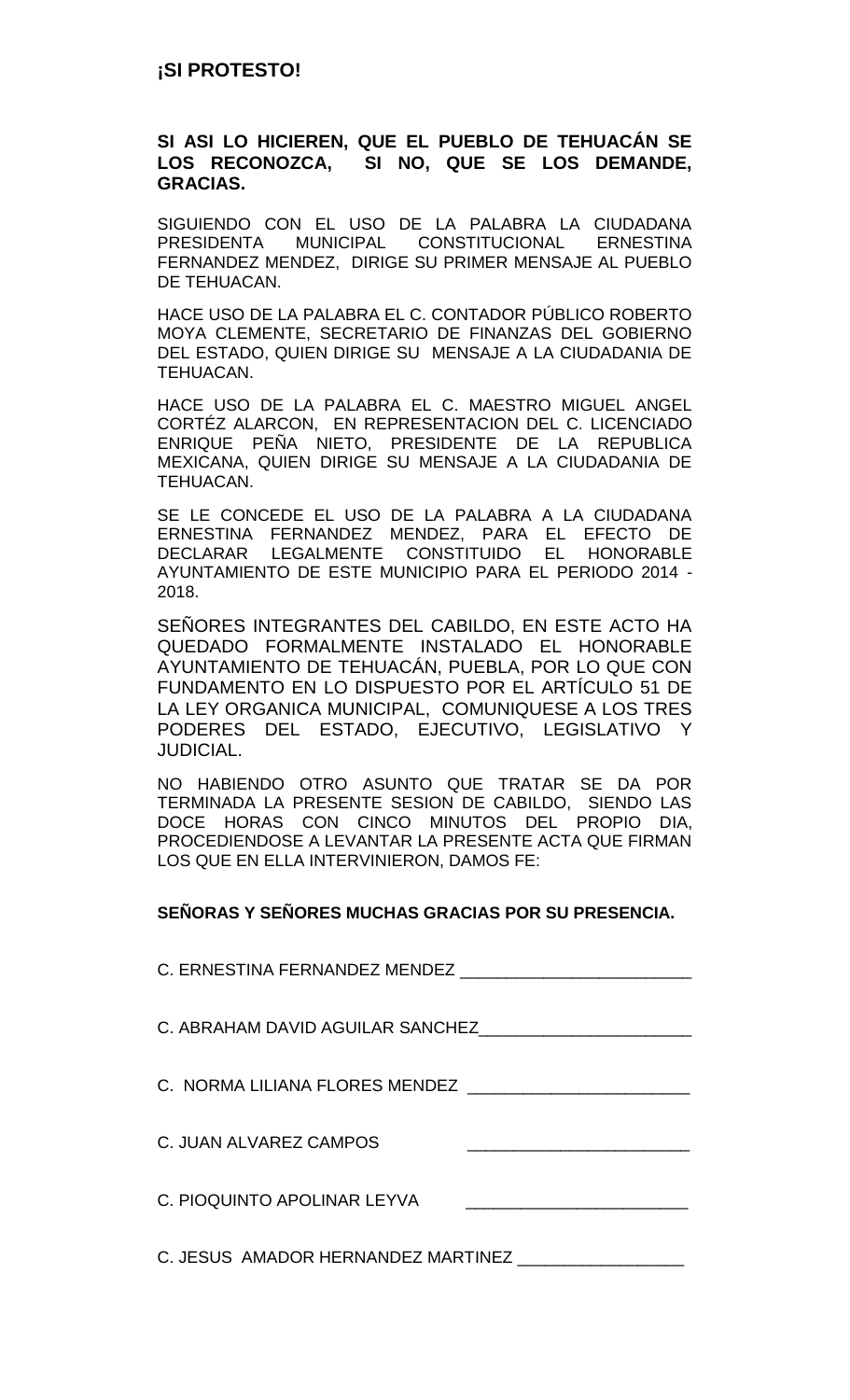### **SI ASI LO HICIEREN, QUE EL PUEBLO DE TEHUACÁN SE LOS RECONOZCA, SI NO, QUE SE LOS DEMANDE, GRACIAS.**

SIGUIENDO CON EL USO DE LA PALABRA LA CIUDADANA PRESIDENTA MUNICIPAL CONSTITUCIONAL ERNESTINA FERNANDEZ MENDEZ, DIRIGE SU PRIMER MENSAJE AL PUEBLO DE TEHUACAN.

HACE USO DE LA PALABRA EL C. CONTADOR PÚBLICO ROBERTO MOYA CLEMENTE, SECRETARIO DE FINANZAS DEL GOBIERNO DEL ESTADO, QUIEN DIRIGE SU MENSAJE A LA CIUDADANIA DE TEHUACAN.

HACE USO DE LA PALABRA EL C. MAESTRO MIGUEL ANGEL CORTÉZ ALARCON, EN REPRESENTACION DEL C. LICENCIADO ENRIQUE PEÑA NIETO, PRESIDENTE DE LA REPUBLICA MEXICANA, QUIEN DIRIGE SU MENSAJE A LA CIUDADANIA DE TEHUACAN.

SE LE CONCEDE EL USO DE LA PALABRA A LA CIUDADANA ERNESTINA FERNANDEZ MENDEZ, PARA EL EFECTO DE DECLARAR LEGALMENTE CONSTITUIDO EL HONORABLE AYUNTAMIENTO DE ESTE MUNICIPIO PARA EL PERIODO 2014 - 2018.

SEÑORES INTEGRANTES DEL CABILDO, EN ESTE ACTO HA QUEDADO FORMALMENTE INSTALADO EL HONORABLE AYUNTAMIENTO DE TEHUACÁN, PUEBLA, POR LO QUE CON FUNDAMENTO EN LO DISPUESTO POR EL ARTÍCULO 51 DE LA LEY ORGANICA MUNICIPAL, COMUNIQUESE A LOS TRES PODERES DEL ESTADO, EJECUTIVO, LEGISLATIVO Y JUDICIAL.

NO HABIENDO OTRO ASUNTO QUE TRATAR SE DA POR TERMINADA LA PRESENTE SESION DE CABILDO, SIENDO LAS DOCE HORAS CON CINCO MINUTOS DEL PROPIO DIA, PROCEDIENDOSE A LEVANTAR LA PRESENTE ACTA QUE FIRMAN LOS QUE EN ELLA INTERVINIERON, DAMOS FE:

### **SEÑORAS Y SEÑORES MUCHAS GRACIAS POR SU PRESENCIA.**

| C. ERNESTINA FERNANDEZ MENDEZ                                                                        |  |
|------------------------------------------------------------------------------------------------------|--|
| C. ABRAHAM DAVID AGUILAR SANCHEZ                                                                     |  |
| C. NORMA LILIANA FLORES MENDEZ _____________________                                                 |  |
| C. JUAN ALVAREZ CAMPOS<br>the control of the control of the control of the control of the control of |  |
| C. PIOQUINTO APOLINAR LEYVA                                                                          |  |
| C. JESUS AMADOR HERNANDEZ MARTINEZ                                                                   |  |